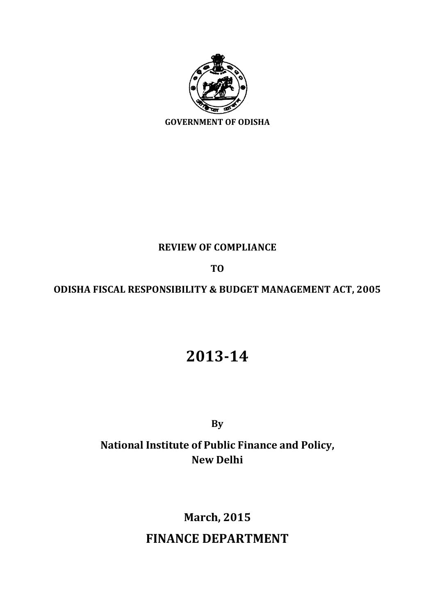

### **REVIEW OF COMPLIANCE**

### **TO**

### **ODISHA FISCAL RESPONSIBILITY & BUDGET MANAGEMENT ACT, 2005**

# **2013-14**

**By**

## **National Institute of Public Finance and Policy, New Delhi**

# **March, 2015**

## **FINANCE DEPARTMENT**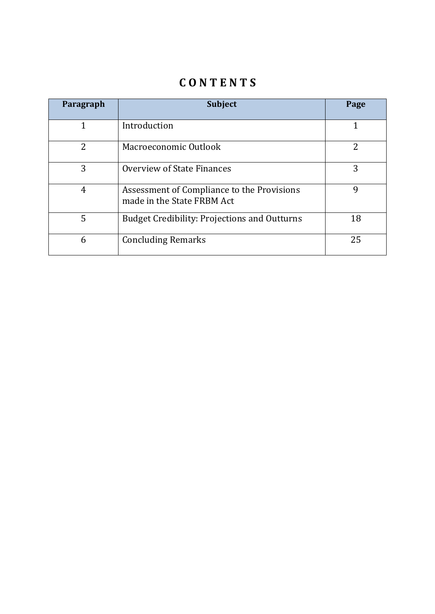## **C O N T E N T S**

| Paragraph      | <b>Subject</b>                                                           | Page |
|----------------|--------------------------------------------------------------------------|------|
|                | Introduction                                                             | 1    |
| $\overline{2}$ | Macroeconomic Outlook                                                    | 2    |
| 3              | Overview of State Finances                                               | 3    |
| 4              | Assessment of Compliance to the Provisions<br>made in the State FRBM Act | 9    |
| 5              | <b>Budget Credibility: Projections and Outturns</b>                      | 18   |
| 6              | <b>Concluding Remarks</b>                                                | 25   |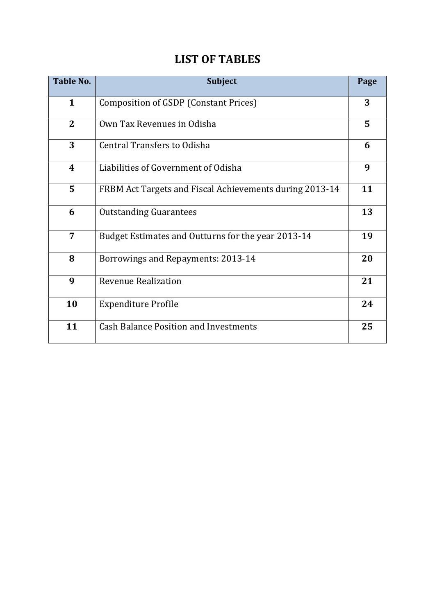| <b>Table No.</b> | <b>Subject</b>                                          | Page |
|------------------|---------------------------------------------------------|------|
| $\mathbf{1}$     | Composition of GSDP (Constant Prices)                   | 3    |
| $\overline{2}$   | Own Tax Revenues in Odisha                              | 5    |
| 3                | <b>Central Transfers to Odisha</b>                      | 6    |
| 4                | Liabilities of Government of Odisha                     | 9    |
| 5                | FRBM Act Targets and Fiscal Achievements during 2013-14 | 11   |
| 6                | <b>Outstanding Guarantees</b>                           | 13   |
| 7                | Budget Estimates and Outturns for the year 2013-14      | 19   |
| 8                | Borrowings and Repayments: 2013-14                      | 20   |
| 9                | <b>Revenue Realization</b>                              | 21   |
| 10               | <b>Expenditure Profile</b>                              | 24   |
| 11               | <b>Cash Balance Position and Investments</b>            | 25   |

## **LIST OF TABLES**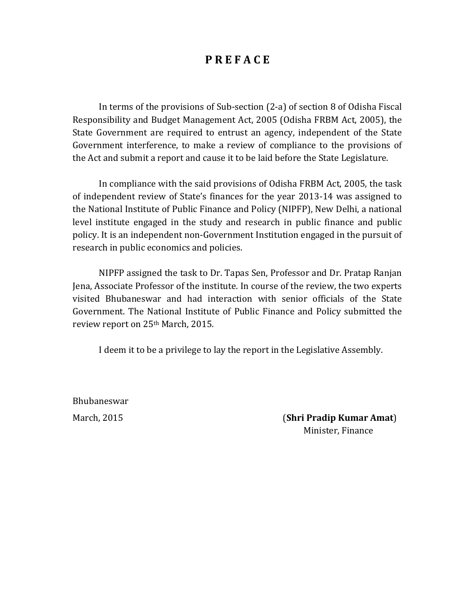### **P R E F A C E**

In terms of the provisions of Sub-section (2-a) of section 8 of Odisha Fiscal Responsibility and Budget Management Act, 2005 (Odisha FRBM Act, 2005), the State Government are required to entrust an agency, independent of the State Government interference, to make a review of compliance to the provisions of the Act and submit a report and cause it to be laid before the State Legislature.

In compliance with the said provisions of Odisha FRBM Act, 2005, the task of independent review of State's finances for the year 2013‐14 was assigned to the National Institute of Public Finance and Policy (NIPFP), New Delhi, a national level institute engaged in the study and research in public finance and public policy. It is an independent non‐Government Institution engaged in the pursuit of research in public economics and policies.

NIPFP assigned the task to Dr. Tapas Sen, Professor and Dr. Pratap Ranjan Jena, Associate Professor of the institute. In course of the review, the two experts visited Bhubaneswar and had interaction with senior officials of the State Government. The National Institute of Public Finance and Policy submitted the review report on 25th March, 2015.

I deem it to be a privilege to lay the report in the Legislative Assembly.

Bhubaneswar

March, 2015 (**Shri Pradip Kumar Amat**) Minister, Finance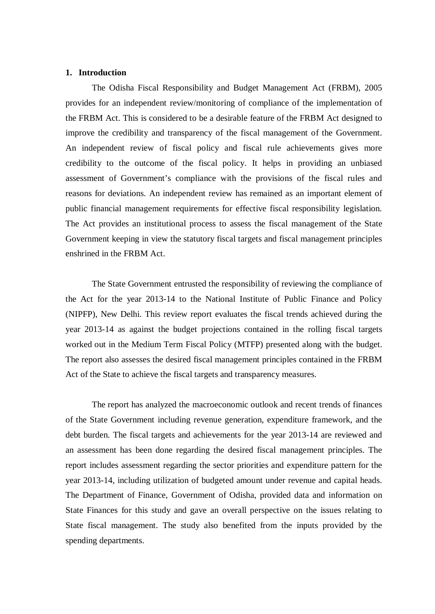#### **1. Introduction**

The Odisha Fiscal Responsibility and Budget Management Act (FRBM), 2005 provides for an independent review/monitoring of compliance of the implementation of the FRBM Act. This is considered to be a desirable feature of the FRBM Act designed to improve the credibility and transparency of the fiscal management of the Government. An independent review of fiscal policy and fiscal rule achievements gives more credibility to the outcome of the fiscal policy. It helps in providing an unbiased assessment of Government's compliance with the provisions of the fiscal rules and reasons for deviations. An independent review has remained as an important element of public financial management requirements for effective fiscal responsibility legislation. The Act provides an institutional process to assess the fiscal management of the State Government keeping in view the statutory fiscal targets and fiscal management principles enshrined in the FRBM Act.

The State Government entrusted the responsibility of reviewing the compliance of the Act for the year 2013-14 to the National Institute of Public Finance and Policy (NIPFP), New Delhi. This review report evaluates the fiscal trends achieved during the year 2013-14 as against the budget projections contained in the rolling fiscal targets worked out in the Medium Term Fiscal Policy (MTFP) presented along with the budget. The report also assesses the desired fiscal management principles contained in the FRBM Act of the State to achieve the fiscal targets and transparency measures.

The report has analyzed the macroeconomic outlook and recent trends of finances of the State Government including revenue generation, expenditure framework, and the debt burden. The fiscal targets and achievements for the year 2013-14 are reviewed and an assessment has been done regarding the desired fiscal management principles. The report includes assessment regarding the sector priorities and expenditure pattern for the year 2013-14, including utilization of budgeted amount under revenue and capital heads. The Department of Finance, Government of Odisha, provided data and information on State Finances for this study and gave an overall perspective on the issues relating to State fiscal management. The study also benefited from the inputs provided by the spending departments.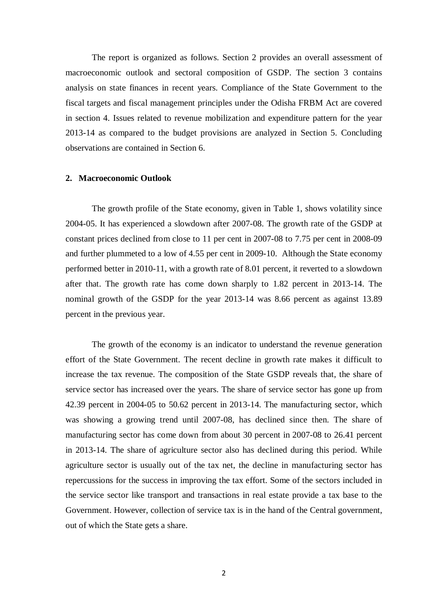The report is organized as follows. Section 2 provides an overall assessment of macroeconomic outlook and sectoral composition of GSDP. The section 3 contains analysis on state finances in recent years. Compliance of the State Government to the fiscal targets and fiscal management principles under the Odisha FRBM Act are covered in section 4. Issues related to revenue mobilization and expenditure pattern for the year 2013-14 as compared to the budget provisions are analyzed in Section 5. Concluding observations are contained in Section 6.

#### **2. Macroeconomic Outlook**

The growth profile of the State economy, given in Table 1, shows volatility since 2004-05. It has experienced a slowdown after 2007-08. The growth rate of the GSDP at constant prices declined from close to 11 per cent in 2007-08 to 7.75 per cent in 2008-09 and further plummeted to a low of 4.55 per cent in 2009-10. Although the State economy performed better in 2010-11, with a growth rate of 8.01 percent, it reverted to a slowdown after that. The growth rate has come down sharply to 1.82 percent in 2013-14. The nominal growth of the GSDP for the year 2013-14 was 8.66 percent as against 13.89 percent in the previous year.

The growth of the economy is an indicator to understand the revenue generation effort of the State Government. The recent decline in growth rate makes it difficult to increase the tax revenue. The composition of the State GSDP reveals that, the share of service sector has increased over the years. The share of service sector has gone up from 42.39 percent in 2004-05 to 50.62 percent in 2013-14. The manufacturing sector, which was showing a growing trend until 2007-08, has declined since then. The share of manufacturing sector has come down from about 30 percent in 2007-08 to 26.41 percent in 2013-14. The share of agriculture sector also has declined during this period. While agriculture sector is usually out of the tax net, the decline in manufacturing sector has repercussions for the success in improving the tax effort. Some of the sectors included in the service sector like transport and transactions in real estate provide a tax base to the Government. However, collection of service tax is in the hand of the Central government, out of which the State gets a share.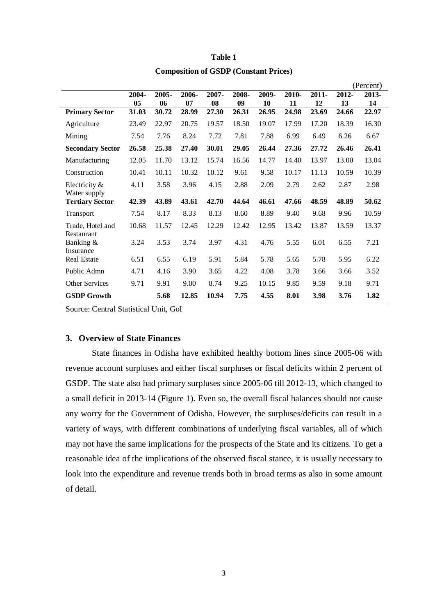|                                |       |       |       |       |       |       |       |          |       | (Percent) |
|--------------------------------|-------|-------|-------|-------|-------|-------|-------|----------|-------|-----------|
|                                | 2004- | 2005- | 2006- | 2007- | 2008- | 2009- | 2010- | $2011 -$ | 2012- | 2013-     |
|                                | 05    | 06    | 07    | 08    | 09    | 10    | 11    | 12       | 13    | 14        |
| <b>Primary Sector</b>          | 31.03 | 30.72 | 28.99 | 27.30 | 26.31 | 26.95 | 24.98 | 23.69    | 24.66 | 22.97     |
| Agriculture                    | 23.49 | 22.97 | 20.75 | 19.57 | 18.50 | 19.07 | 17.99 | 17.20    | 18.39 | 16.30     |
| Mining                         | 7.54  | 7.76  | 8.24  | 7.72  | 7.81  | 7.88  | 6.99  | 6.49     | 6.26  | 6.67      |
| <b>Secondary Sector</b>        | 26.58 | 25.38 | 27.40 | 30.01 | 29.05 | 26.44 | 27.36 | 27.72    | 26.46 | 26.41     |
| Manufacturing                  | 12.05 | 11.70 | 13.12 | 15.74 | 16.56 | 14.77 | 14.40 | 13.97    | 13.00 | 13.04     |
| Construction                   | 10.41 | 10.11 | 10.32 | 10.12 | 9.61  | 9.58  | 10.17 | 11.13    | 10.59 | 10.39     |
| Electricity &<br>Water supply  | 4.11  | 3.58  | 3.96  | 4.15  | 2.88  | 2.09  | 2.79  | 2.62     | 2.87  | 2.98      |
| <b>Tertiary Sector</b>         | 42.39 | 43.89 | 43.61 | 42.70 | 44.64 | 46.61 | 47.66 | 48.59    | 48.89 | 50.62     |
| Transport                      | 7.54  | 8.17  | 8.33  | 8.13  | 8.60  | 8.89  | 9.40  | 9.68     | 9.96  | 10.59     |
| Trade, Hotel and<br>Restaurant | 10.68 | 11.57 | 12.45 | 12.29 | 12.42 | 12.95 | 13.42 | 13.87    | 13.59 | 13.37     |
| Banking &<br>Insurance         | 3.24  | 3.53  | 3.74  | 3.97  | 4.31  | 4.76  | 5.55  | 6.01     | 6.55  | 7.21      |
| <b>Real Estate</b>             | 6.51  | 6.55  | 6.19  | 5.91  | 5.84  | 5.78  | 5.65  | 5.78     | 5.95  | 6.22      |
| Public Admn                    | 4.71  | 4.16  | 3.90  | 3.65  | 4.22  | 4.08  | 3.78  | 3.66     | 3.66  | 3.52      |
| Other Services                 | 9.71  | 9.91  | 9.00  | 8.74  | 9.25  | 10.15 | 9.85  | 9.59     | 9.18  | 9.71      |
| <b>GSDP Growth</b>             |       | 5.68  | 12.85 | 10.94 | 7.75  | 4.55  | 8.01  | 3.98     | 3.76  | 1.82      |

### **Table 1 Composition of GSDP (Constant Prices)**

Source: Central Statistical Unit, GoI

#### **3. Overview of State Finances**

State finances in Odisha have exhibited healthy bottom lines since 2005-06 with revenue account surpluses and either fiscal surpluses or fiscal deficits within 2 percent of GSDP. The state also had primary surpluses since 2005-06 till 2012-13, which changed to a small deficit in 2013-14 (Figure 1). Even so, the overall fiscal balances should not cause any worry for the Government of Odisha. However, the surpluses/deficits can result in a variety of ways, with different combinations of underlying fiscal variables, all of which may not have the same implications for the prospects of the State and its citizens. To get a reasonable idea of the implications of the observed fiscal stance, it is usually necessary to look into the expenditure and revenue trends both in broad terms as also in some amount of detail.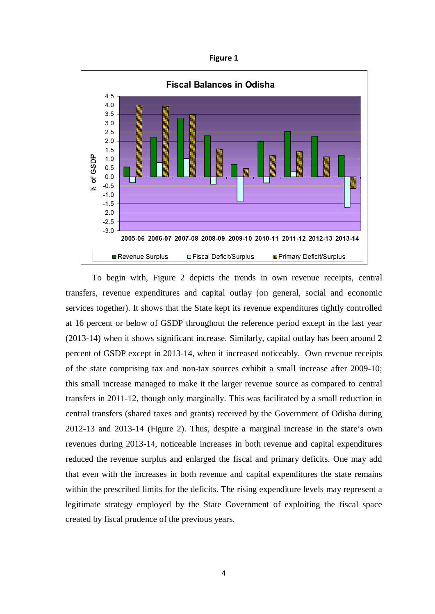**Figure 1**



To begin with, Figure 2 depicts the trends in own revenue receipts, central transfers, revenue expenditures and capital outlay (on general, social and economic services together). It shows that the State kept its revenue expenditures tightly controlled at 16 percent or below of GSDP throughout the reference period except in the last year (2013-14) when it shows significant increase. Similarly, capital outlay has been around 2 percent of GSDP except in 2013-14, when it increased noticeably. Own revenue receipts of the state comprising tax and non-tax sources exhibit a small increase after 2009-10; this small increase managed to make it the larger revenue source as compared to central transfers in 2011-12, though only marginally. This was facilitated by a small reduction in central transfers (shared taxes and grants) received by the Government of Odisha during 2012-13 and 2013-14 (Figure 2). Thus, despite a marginal increase in the state's own revenues during 2013-14, noticeable increases in both revenue and capital expenditures reduced the revenue surplus and enlarged the fiscal and primary deficits. One may add that even with the increases in both revenue and capital expenditures the state remains within the prescribed limits for the deficits. The rising expenditure levels may represent a legitimate strategy employed by the State Government of exploiting the fiscal space created by fiscal prudence of the previous years.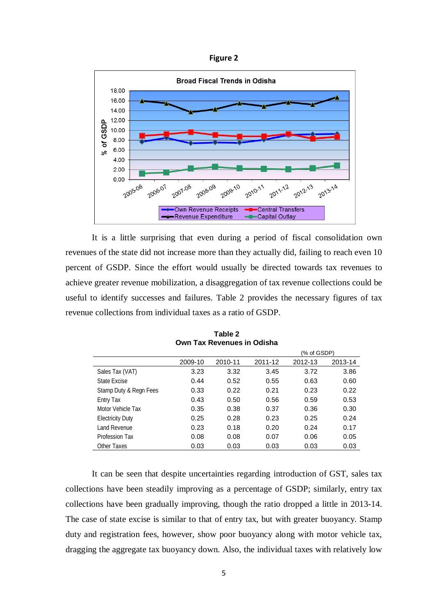



It is a little surprising that even during a period of fiscal consolidation own revenues of the state did not increase more than they actually did, failing to reach even 10 percent of GSDP. Since the effort would usually be directed towards tax revenues to achieve greater revenue mobilization, a disaggregation of tax revenue collections could be useful to identify successes and failures. Table 2 provides the necessary figures of tax revenue collections from individual taxes as a ratio of GSDP.

|                         |         |         | (% of GSDP) |         |         |  |
|-------------------------|---------|---------|-------------|---------|---------|--|
|                         | 2009-10 | 2010-11 | 2011-12     | 2012-13 | 2013-14 |  |
| Sales Tax (VAT)         | 3.23    | 3.32    | 3.45        | 3.72    | 3.86    |  |
| State Excise            | 0.44    | 0.52    | 0.55        | 0.63    | 0.60    |  |
| Stamp Duty & Regn Fees  | 0.33    | 0.22    | 0.21        | 0.23    | 0.22    |  |
| Entry Tax               | 0.43    | 0.50    | 0.56        | 0.59    | 0.53    |  |
| Motor Vehicle Tax       | 0.35    | 0.38    | 0.37        | 0.36    | 0.30    |  |
| <b>Electricity Duty</b> | 0.25    | 0.28    | 0.23        | 0.25    | 0.24    |  |
| Land Revenue            | 0.23    | 0.18    | 0.20        | 0.24    | 0.17    |  |
| Profession Tax          | 0.08    | 0.08    | 0.07        | 0.06    | 0.05    |  |
| Other Taxes             | 0.03    | 0.03    | 0.03        | 0.03    | 0.03    |  |

**Table 2 Own Tax Revenues in Odisha**

It can be seen that despite uncertainties regarding introduction of GST, sales tax collections have been steadily improving as a percentage of GSDP; similarly, entry tax collections have been gradually improving, though the ratio dropped a little in 2013-14. The case of state excise is similar to that of entry tax, but with greater buoyancy. Stamp duty and registration fees, however, show poor buoyancy along with motor vehicle tax, dragging the aggregate tax buoyancy down. Also, the individual taxes with relatively low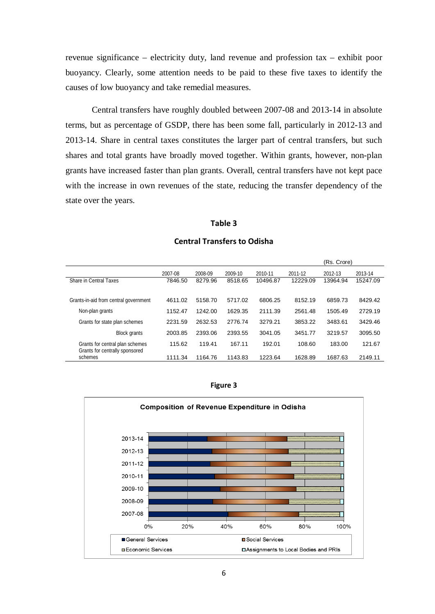revenue significance – electricity duty, land revenue and profession tax – exhibit poor buoyancy. Clearly, some attention needs to be paid to these five taxes to identify the causes of low buoyancy and take remedial measures.

Central transfers have roughly doubled between 2007-08 and 2013-14 in absolute terms, but as percentage of GSDP, there has been some fall, particularly in 2012-13 and 2013-14. Share in central taxes constitutes the larger part of central transfers, but such shares and total grants have broadly moved together. Within grants, however, non-plan grants have increased faster than plan grants. Overall, central transfers have not kept pace with the increase in own revenues of the state, reducing the transfer dependency of the state over the years.

#### **Table 3**

|                                                                   |         |         |         |          |          | (Rs. Crore) |          |
|-------------------------------------------------------------------|---------|---------|---------|----------|----------|-------------|----------|
|                                                                   | 2007-08 | 2008-09 | 2009-10 | 2010-11  | 2011-12  | 2012-13     | 2013-14  |
| Share in Central Taxes                                            | 7846.50 | 8279.96 | 8518.65 | 10496.87 | 12229.09 | 13964.94    | 15247.09 |
|                                                                   |         |         |         |          |          |             |          |
| Grants-in-aid from central government                             | 4611.02 | 5158.70 | 5717.02 | 6806.25  | 8152.19  | 6859.73     | 8429.42  |
| Non-plan grants                                                   | 1152.47 | 1242.00 | 1629.35 | 2111.39  | 2561.48  | 1505.49     | 2729.19  |
| Grants for state plan schemes                                     | 2231.59 | 2632.53 | 2776.74 | 3279.21  | 3853.22  | 3483.61     | 3429.46  |
| Block grants                                                      | 2003.85 | 2393.06 | 2393.55 | 3041.05  | 3451.77  | 3219.57     | 3095.50  |
| Grants for central plan schemes<br>Grants for centrally sponsored | 115.62  | 119.41  | 167.11  | 192.01   | 108.60   | 183.00      | 121.67   |
| schemes                                                           | 1111.34 | 1164.76 | 1143.83 | 1223.64  | 1628.89  | 1687.63     | 2149.11  |

#### **Central Transfers to Odisha**

![](_page_13_Figure_5.jpeg)

![](_page_13_Figure_6.jpeg)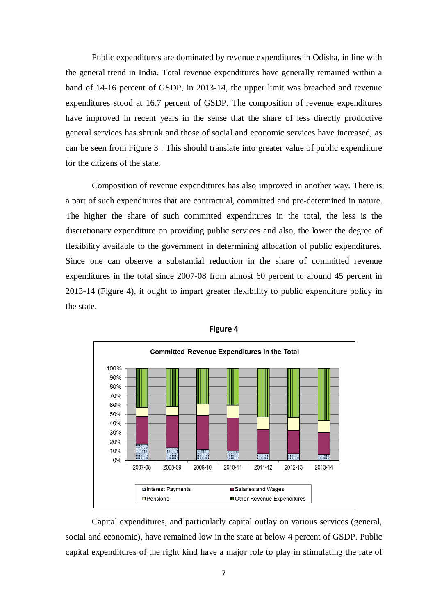Public expenditures are dominated by revenue expenditures in Odisha, in line with the general trend in India. Total revenue expenditures have generally remained within a band of 14-16 percent of GSDP, in 2013-14, the upper limit was breached and revenue expenditures stood at 16.7 percent of GSDP. The composition of revenue expenditures have improved in recent years in the sense that the share of less directly productive general services has shrunk and those of social and economic services have increased, as can be seen from Figure 3 . This should translate into greater value of public expenditure for the citizens of the state.

Composition of revenue expenditures has also improved in another way. There is a part of such expenditures that are contractual, committed and pre-determined in nature. The higher the share of such committed expenditures in the total, the less is the discretionary expenditure on providing public services and also, the lower the degree of flexibility available to the government in determining allocation of public expenditures. Since one can observe a substantial reduction in the share of committed revenue expenditures in the total since 2007-08 from almost 60 percent to around 45 percent in 2013-14 (Figure 4), it ought to impart greater flexibility to public expenditure policy in the state.

![](_page_14_Figure_2.jpeg)

**Figure 4**

Capital expenditures, and particularly capital outlay on various services (general, social and economic), have remained low in the state at below 4 percent of GSDP. Public capital expenditures of the right kind have a major role to play in stimulating the rate of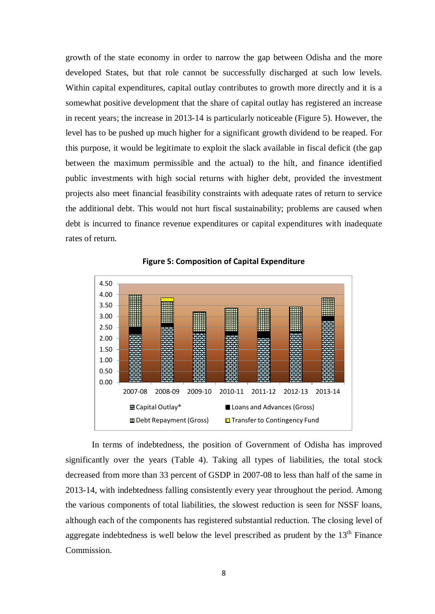growth of the state economy in order to narrow the gap between Odisha and the more developed States, but that role cannot be successfully discharged at such low levels. Within capital expenditures, capital outlay contributes to growth more directly and it is a somewhat positive development that the share of capital outlay has registered an increase in recent years; the increase in 2013-14 is particularly noticeable (Figure 5). However, the level has to be pushed up much higher for a significant growth dividend to be reaped. For this purpose, it would be legitimate to exploit the slack available in fiscal deficit (the gap between the maximum permissible and the actual) to the hilt, and finance identified public investments with high social returns with higher debt, provided the investment projects also meet financial feasibility constraints with adequate rates of return to service the additional debt. This would not hurt fiscal sustainability; problems are caused when debt is incurred to finance revenue expenditures or capital expenditures with inadequate rates of return.

![](_page_15_Figure_1.jpeg)

**Figure 5: Composition of Capital Expenditure**

In terms of indebtedness, the position of Government of Odisha has improved significantly over the years (Table 4). Taking all types of liabilities, the total stock decreased from more than 33 percent of GSDP in 2007-08 to less than half of the same in 2013-14, with indebtedness falling consistently every year throughout the period. Among the various components of total liabilities, the slowest reduction is seen for NSSF loans, although each of the components has registered substantial reduction. The closing level of aggregate indebtedness is well below the level prescribed as prudent by the  $13<sup>th</sup>$  Finance Commission.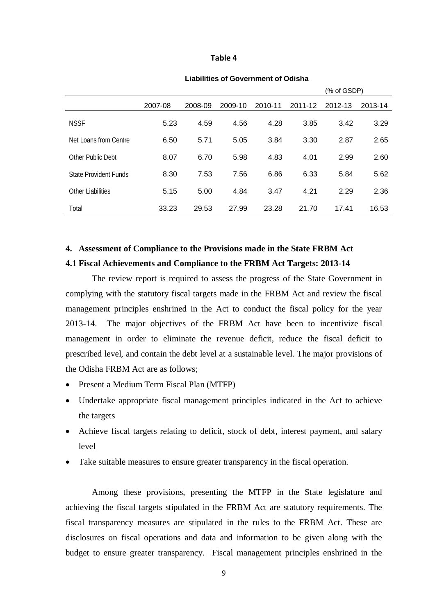#### **Table 4**

|                       |         |         |         |         |         | (% of GSDP) |         |
|-----------------------|---------|---------|---------|---------|---------|-------------|---------|
|                       | 2007-08 | 2008-09 | 2009-10 | 2010-11 | 2011-12 | 2012-13     | 2013-14 |
| <b>NSSF</b>           | 5.23    | 4.59    | 4.56    | 4.28    | 3.85    | 3.42        | 3.29    |
| Net Loans from Centre | 6.50    | 5.71    | 5.05    | 3.84    | 3.30    | 2.87        | 2.65    |
| Other Public Debt     | 8.07    | 6.70    | 5.98    | 4.83    | 4.01    | 2.99        | 2.60    |
| State Provident Funds | 8.30    | 7.53    | 7.56    | 6.86    | 6.33    | 5.84        | 5.62    |
| Other Liabilities     | 5.15    | 5.00    | 4.84    | 3.47    | 4.21    | 2.29        | 2.36    |
| Total                 | 33.23   | 29.53   | 27.99   | 23.28   | 21.70   | 17.41       | 16.53   |

#### **Liabilities of Government of Odisha**

### **4. Assessment of Compliance to the Provisions made in the State FRBM Act 4.1 Fiscal Achievements and Compliance to the FRBM Act Targets: 2013-14**

The review report is required to assess the progress of the State Government in complying with the statutory fiscal targets made in the FRBM Act and review the fiscal management principles enshrined in the Act to conduct the fiscal policy for the year 2013-14. The major objectives of the FRBM Act have been to incentivize fiscal management in order to eliminate the revenue deficit, reduce the fiscal deficit to prescribed level, and contain the debt level at a sustainable level. The major provisions of the Odisha FRBM Act are as follows;

- Present a Medium Term Fiscal Plan (MTFP)
- Undertake appropriate fiscal management principles indicated in the Act to achieve the targets
- Achieve fiscal targets relating to deficit, stock of debt, interest payment, and salary level
- Take suitable measures to ensure greater transparency in the fiscal operation.

Among these provisions, presenting the MTFP in the State legislature and achieving the fiscal targets stipulated in the FRBM Act are statutory requirements. The fiscal transparency measures are stipulated in the rules to the FRBM Act. These are disclosures on fiscal operations and data and information to be given along with the budget to ensure greater transparency. Fiscal management principles enshrined in the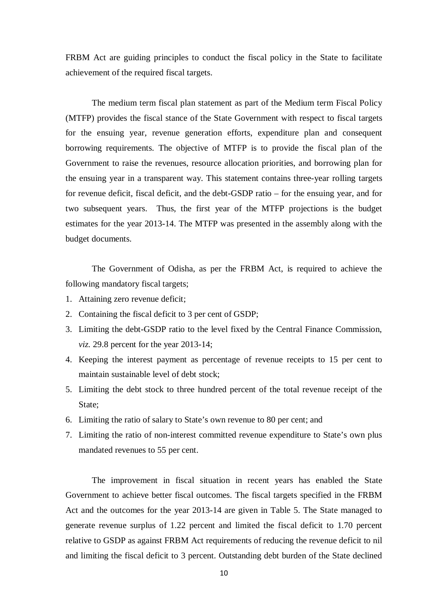FRBM Act are guiding principles to conduct the fiscal policy in the State to facilitate achievement of the required fiscal targets.

The medium term fiscal plan statement as part of the Medium term Fiscal Policy (MTFP) provides the fiscal stance of the State Government with respect to fiscal targets for the ensuing year, revenue generation efforts, expenditure plan and consequent borrowing requirements. The objective of MTFP is to provide the fiscal plan of the Government to raise the revenues, resource allocation priorities, and borrowing plan for the ensuing year in a transparent way. This statement contains three-year rolling targets for revenue deficit, fiscal deficit, and the debt-GSDP ratio – for the ensuing year, and for two subsequent years. Thus, the first year of the MTFP projections is the budget estimates for the year 2013-14. The MTFP was presented in the assembly along with the budget documents.

The Government of Odisha, as per the FRBM Act, is required to achieve the following mandatory fiscal targets;

- 1. Attaining zero revenue deficit;
- 2. Containing the fiscal deficit to 3 per cent of GSDP;
- 3. Limiting the debt-GSDP ratio to the level fixed by the Central Finance Commission, *viz.* 29.8 percent for the year 2013-14;
- 4. Keeping the interest payment as percentage of revenue receipts to 15 per cent to maintain sustainable level of debt stock;
- 5. Limiting the debt stock to three hundred percent of the total revenue receipt of the State;
- 6. Limiting the ratio of salary to State's own revenue to 80 per cent; and
- 7. Limiting the ratio of non-interest committed revenue expenditure to State's own plus mandated revenues to 55 per cent.

The improvement in fiscal situation in recent years has enabled the State Government to achieve better fiscal outcomes. The fiscal targets specified in the FRBM Act and the outcomes for the year 2013-14 are given in Table 5. The State managed to generate revenue surplus of 1.22 percent and limited the fiscal deficit to 1.70 percent relative to GSDP as against FRBM Act requirements of reducing the revenue deficit to nil and limiting the fiscal deficit to 3 percent. Outstanding debt burden of the State declined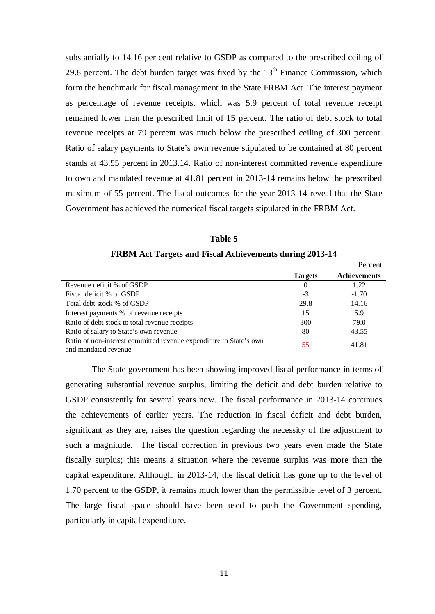substantially to 14.16 per cent relative to GSDP as compared to the prescribed ceiling of 29.8 percent. The debt burden target was fixed by the  $13<sup>th</sup>$  Finance Commission, which form the benchmark for fiscal management in the State FRBM Act. The interest payment as percentage of revenue receipts, which was 5.9 percent of total revenue receipt remained lower than the prescribed limit of 15 percent. The ratio of debt stock to total revenue receipts at 79 percent was much below the prescribed ceiling of 300 percent. Ratio of salary payments to State's own revenue stipulated to be contained at 80 percent stands at 43.55 percent in 2013.14. Ratio of non-interest committed revenue expenditure to own and mandated revenue at 41.81 percent in 2013-14 remains below the prescribed maximum of 55 percent. The fiscal outcomes for the year 2013-14 reveal that the State Government has achieved the numerical fiscal targets stipulated in the FRBM Act.

| <b>FRBM Act Targets and Fiscal Achievements during 2013-14</b>                             |                |                     |
|--------------------------------------------------------------------------------------------|----------------|---------------------|
|                                                                                            |                | Percent             |
|                                                                                            | <b>Targets</b> | <b>Achievements</b> |
| Revenue deficit % of GSDP                                                                  | 0              | 1.22                |
| Fiscal deficit % of GSDP                                                                   | $-3$           | $-1.70$             |
| Total debt stock % of GSDP                                                                 | 29.8           | 14.16               |
| Interest payments % of revenue receipts                                                    | 15             | 5.9                 |
| Ratio of debt stock to total revenue receipts                                              | 300            | 79.0                |
| Ratio of salary to State's own revenue                                                     | 80             | 43.55               |
| Ratio of non-interest committed revenue expenditure to State's own<br>and mandated revenue | 55             | 41.81               |

**Table 5**

The State government has been showing improved fiscal performance in terms of generating substantial revenue surplus, limiting the deficit and debt burden relative to GSDP consistently for several years now. The fiscal performance in 2013-14 continues the achievements of earlier years. The reduction in fiscal deficit and debt burden, significant as they are, raises the question regarding the necessity of the adjustment to such a magnitude. The fiscal correction in previous two years even made the State fiscally surplus; this means a situation where the revenue surplus was more than the capital expenditure. Although, in 2013-14, the fiscal deficit has gone up to the level of 1.70 percent to the GSDP, it remains much lower than the permissible level of 3 percent. The large fiscal space should have been used to push the Government spending, particularly in capital expenditure.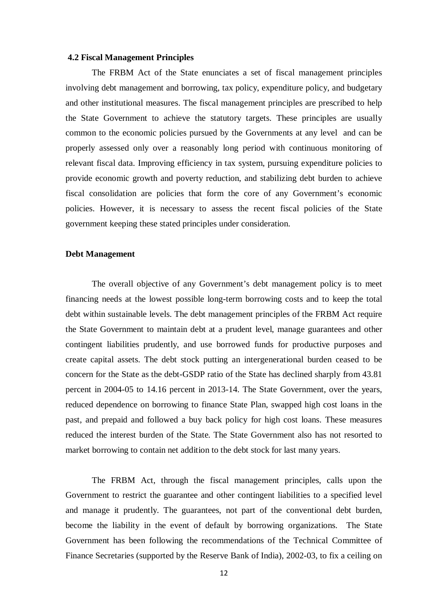#### **4.2 Fiscal Management Principles**

The FRBM Act of the State enunciates a set of fiscal management principles involving debt management and borrowing, tax policy, expenditure policy, and budgetary and other institutional measures. The fiscal management principles are prescribed to help the State Government to achieve the statutory targets. These principles are usually common to the economic policies pursued by the Governments at any level and can be properly assessed only over a reasonably long period with continuous monitoring of relevant fiscal data. Improving efficiency in tax system, pursuing expenditure policies to provide economic growth and poverty reduction, and stabilizing debt burden to achieve fiscal consolidation are policies that form the core of any Government's economic policies. However, it is necessary to assess the recent fiscal policies of the State government keeping these stated principles under consideration.

#### **Debt Management**

The overall objective of any Government's debt management policy is to meet financing needs at the lowest possible long-term borrowing costs and to keep the total debt within sustainable levels. The debt management principles of the FRBM Act require the State Government to maintain debt at a prudent level, manage guarantees and other contingent liabilities prudently, and use borrowed funds for productive purposes and create capital assets. The debt stock putting an intergenerational burden ceased to be concern for the State as the debt-GSDP ratio of the State has declined sharply from 43.81 percent in 2004-05 to 14.16 percent in 2013-14. The State Government, over the years, reduced dependence on borrowing to finance State Plan, swapped high cost loans in the past, and prepaid and followed a buy back policy for high cost loans. These measures reduced the interest burden of the State. The State Government also has not resorted to market borrowing to contain net addition to the debt stock for last many years.

The FRBM Act, through the fiscal management principles, calls upon the Government to restrict the guarantee and other contingent liabilities to a specified level and manage it prudently. The guarantees, not part of the conventional debt burden, become the liability in the event of default by borrowing organizations. The State Government has been following the recommendations of the Technical Committee of Finance Secretaries (supported by the Reserve Bank of India), 2002-03, to fix a ceiling on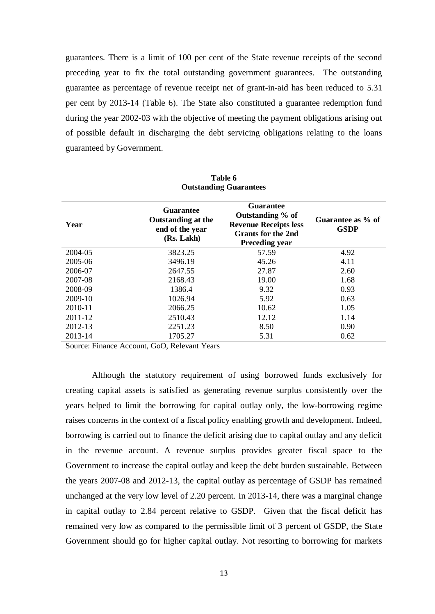guarantees. There is a limit of 100 per cent of the State revenue receipts of the second preceding year to fix the total outstanding government guarantees. The outstanding guarantee as percentage of revenue receipt net of grant-in-aid has been reduced to 5.31 per cent by 2013-14 (Table 6). The State also constituted a guarantee redemption fund during the year 2002-03 with the objective of meeting the payment obligations arising out of possible default in discharging the debt servicing obligations relating to the loans guaranteed by Government.

| Year    | <b>Guarantee</b><br><b>Outstanding at the</b><br>end of the year<br>(Rs. Lakh) | <b>Guarantee</b><br>Outstanding % of<br><b>Revenue Receipts less</b><br><b>Grants for the 2nd</b><br><b>Preceding year</b> | Guarantee as % of<br><b>GSDP</b> |
|---------|--------------------------------------------------------------------------------|----------------------------------------------------------------------------------------------------------------------------|----------------------------------|
| 2004-05 | 3823.25                                                                        | 57.59                                                                                                                      | 4.92                             |
| 2005-06 | 3496.19                                                                        | 45.26                                                                                                                      | 4.11                             |
| 2006-07 | 2647.55                                                                        | 27.87                                                                                                                      | 2.60                             |
| 2007-08 | 2168.43                                                                        | 19.00                                                                                                                      | 1.68                             |
| 2008-09 | 1386.4                                                                         | 9.32                                                                                                                       | 0.93                             |
| 2009-10 | 1026.94                                                                        | 5.92                                                                                                                       | 0.63                             |
| 2010-11 | 2066.25                                                                        | 10.62                                                                                                                      | 1.05                             |
| 2011-12 | 2510.43                                                                        | 12.12                                                                                                                      | 1.14                             |
| 2012-13 | 2251.23                                                                        | 8.50                                                                                                                       | 0.90                             |
| 2013-14 | 1705.27                                                                        | 5.31                                                                                                                       | 0.62                             |

**Table 6 Outstanding Guarantees**

Source: Finance Account, GoO, Relevant Years

Although the statutory requirement of using borrowed funds exclusively for creating capital assets is satisfied as generating revenue surplus consistently over the years helped to limit the borrowing for capital outlay only, the low-borrowing regime raises concerns in the context of a fiscal policy enabling growth and development. Indeed, borrowing is carried out to finance the deficit arising due to capital outlay and any deficit in the revenue account. A revenue surplus provides greater fiscal space to the Government to increase the capital outlay and keep the debt burden sustainable. Between the years 2007-08 and 2012-13, the capital outlay as percentage of GSDP has remained unchanged at the very low level of 2.20 percent. In 2013-14, there was a marginal change in capital outlay to 2.84 percent relative to GSDP. Given that the fiscal deficit has remained very low as compared to the permissible limit of 3 percent of GSDP, the State Government should go for higher capital outlay. Not resorting to borrowing for markets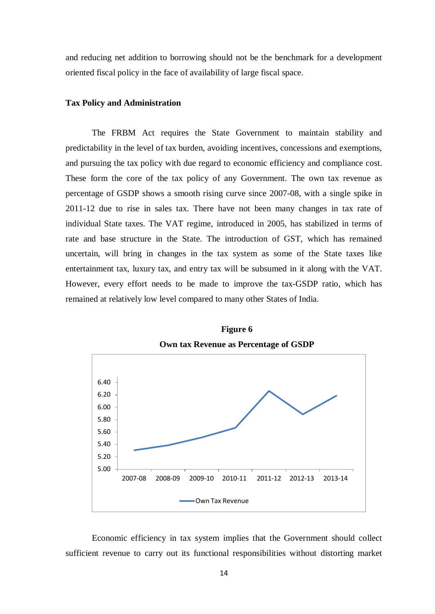and reducing net addition to borrowing should not be the benchmark for a development oriented fiscal policy in the face of availability of large fiscal space.

#### **Tax Policy and Administration**

The FRBM Act requires the State Government to maintain stability and predictability in the level of tax burden, avoiding incentives, concessions and exemptions, and pursuing the tax policy with due regard to economic efficiency and compliance cost. These form the core of the tax policy of any Government. The own tax revenue as percentage of GSDP shows a smooth rising curve since 2007-08, with a single spike in 2011-12 due to rise in sales tax. There have not been many changes in tax rate of individual State taxes. The VAT regime, introduced in 2005, has stabilized in terms of rate and base structure in the State. The introduction of GST, which has remained uncertain, will bring in changes in the tax system as some of the State taxes like entertainment tax, luxury tax, and entry tax will be subsumed in it along with the VAT. However, every effort needs to be made to improve the tax-GSDP ratio, which has remained at relatively low level compared to many other States of India.

![](_page_21_Figure_3.jpeg)

**Figure 6 Own tax Revenue as Percentage of GSDP**

Economic efficiency in tax system implies that the Government should collect sufficient revenue to carry out its functional responsibilities without distorting market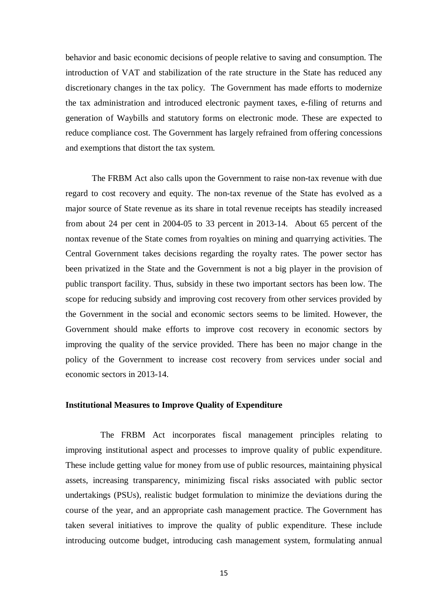behavior and basic economic decisions of people relative to saving and consumption. The introduction of VAT and stabilization of the rate structure in the State has reduced any discretionary changes in the tax policy. The Government has made efforts to modernize the tax administration and introduced electronic payment taxes, e-filing of returns and generation of Waybills and statutory forms on electronic mode. These are expected to reduce compliance cost. The Government has largely refrained from offering concessions and exemptions that distort the tax system.

The FRBM Act also calls upon the Government to raise non-tax revenue with due regard to cost recovery and equity. The non-tax revenue of the State has evolved as a major source of State revenue as its share in total revenue receipts has steadily increased from about 24 per cent in 2004-05 to 33 percent in 2013-14. About 65 percent of the nontax revenue of the State comes from royalties on mining and quarrying activities. The Central Government takes decisions regarding the royalty rates. The power sector has been privatized in the State and the Government is not a big player in the provision of public transport facility. Thus, subsidy in these two important sectors has been low. The scope for reducing subsidy and improving cost recovery from other services provided by the Government in the social and economic sectors seems to be limited. However, the Government should make efforts to improve cost recovery in economic sectors by improving the quality of the service provided. There has been no major change in the policy of the Government to increase cost recovery from services under social and economic sectors in 2013-14.

#### **Institutional Measures to Improve Quality of Expenditure**

 The FRBM Act incorporates fiscal management principles relating to improving institutional aspect and processes to improve quality of public expenditure. These include getting value for money from use of public resources, maintaining physical assets, increasing transparency, minimizing fiscal risks associated with public sector undertakings (PSUs), realistic budget formulation to minimize the deviations during the course of the year, and an appropriate cash management practice. The Government has taken several initiatives to improve the quality of public expenditure. These include introducing outcome budget, introducing cash management system, formulating annual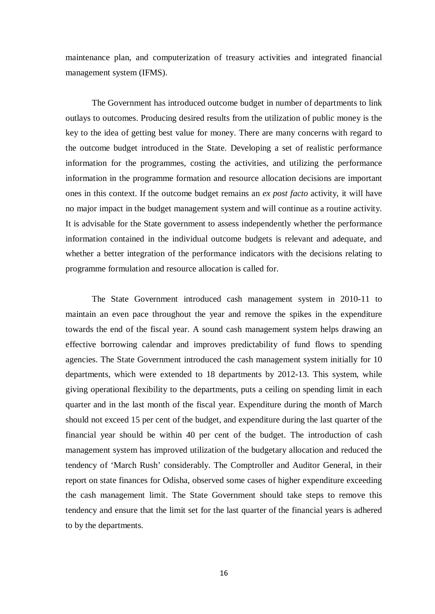maintenance plan, and computerization of treasury activities and integrated financial management system (IFMS).

The Government has introduced outcome budget in number of departments to link outlays to outcomes. Producing desired results from the utilization of public money is the key to the idea of getting best value for money. There are many concerns with regard to the outcome budget introduced in the State. Developing a set of realistic performance information for the programmes, costing the activities, and utilizing the performance information in the programme formation and resource allocation decisions are important ones in this context. If the outcome budget remains an *ex post facto* activity, it will have no major impact in the budget management system and will continue as a routine activity. It is advisable for the State government to assess independently whether the performance information contained in the individual outcome budgets is relevant and adequate, and whether a better integration of the performance indicators with the decisions relating to programme formulation and resource allocation is called for.

The State Government introduced cash management system in 2010-11 to maintain an even pace throughout the year and remove the spikes in the expenditure towards the end of the fiscal year. A sound cash management system helps drawing an effective borrowing calendar and improves predictability of fund flows to spending agencies. The State Government introduced the cash management system initially for 10 departments, which were extended to 18 departments by 2012-13. This system, while giving operational flexibility to the departments, puts a ceiling on spending limit in each quarter and in the last month of the fiscal year. Expenditure during the month of March should not exceed 15 per cent of the budget, and expenditure during the last quarter of the financial year should be within 40 per cent of the budget. The introduction of cash management system has improved utilization of the budgetary allocation and reduced the tendency of 'March Rush' considerably. The Comptroller and Auditor General, in their report on state finances for Odisha, observed some cases of higher expenditure exceeding the cash management limit. The State Government should take steps to remove this tendency and ensure that the limit set for the last quarter of the financial years is adhered to by the departments.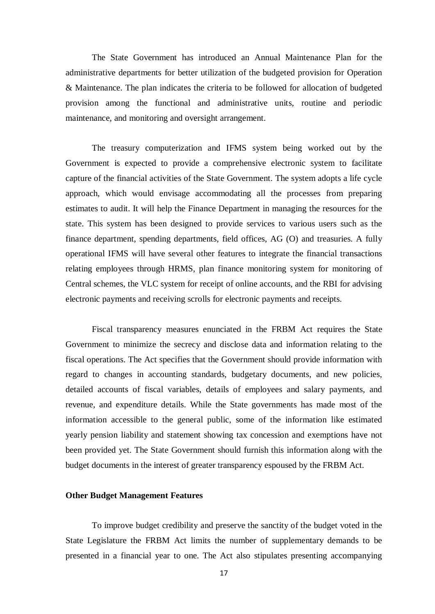The State Government has introduced an Annual Maintenance Plan for the administrative departments for better utilization of the budgeted provision for Operation & Maintenance. The plan indicates the criteria to be followed for allocation of budgeted provision among the functional and administrative units, routine and periodic maintenance, and monitoring and oversight arrangement.

The treasury computerization and IFMS system being worked out by the Government is expected to provide a comprehensive electronic system to facilitate capture of the financial activities of the State Government. The system adopts a life cycle approach, which would envisage accommodating all the processes from preparing estimates to audit. It will help the Finance Department in managing the resources for the state. This system has been designed to provide services to various users such as the finance department, spending departments, field offices, AG (O) and treasuries. A fully operational IFMS will have several other features to integrate the financial transactions relating employees through HRMS, plan finance monitoring system for monitoring of Central schemes, the VLC system for receipt of online accounts, and the RBI for advising electronic payments and receiving scrolls for electronic payments and receipts.

Fiscal transparency measures enunciated in the FRBM Act requires the State Government to minimize the secrecy and disclose data and information relating to the fiscal operations. The Act specifies that the Government should provide information with regard to changes in accounting standards, budgetary documents, and new policies, detailed accounts of fiscal variables, details of employees and salary payments, and revenue, and expenditure details. While the State governments has made most of the information accessible to the general public, some of the information like estimated yearly pension liability and statement showing tax concession and exemptions have not been provided yet. The State Government should furnish this information along with the budget documents in the interest of greater transparency espoused by the FRBM Act.

#### **Other Budget Management Features**

To improve budget credibility and preserve the sanctity of the budget voted in the State Legislature the FRBM Act limits the number of supplementary demands to be presented in a financial year to one. The Act also stipulates presenting accompanying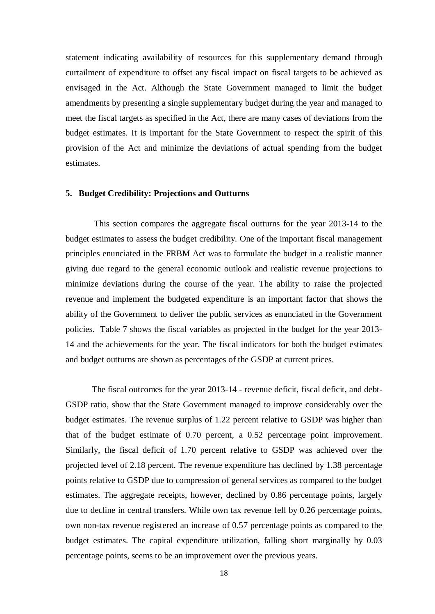statement indicating availability of resources for this supplementary demand through curtailment of expenditure to offset any fiscal impact on fiscal targets to be achieved as envisaged in the Act. Although the State Government managed to limit the budget amendments by presenting a single supplementary budget during the year and managed to meet the fiscal targets as specified in the Act, there are many cases of deviations from the budget estimates. It is important for the State Government to respect the spirit of this provision of the Act and minimize the deviations of actual spending from the budget estimates.

#### **5. Budget Credibility: Projections and Outturns**

This section compares the aggregate fiscal outturns for the year 2013-14 to the budget estimates to assess the budget credibility. One of the important fiscal management principles enunciated in the FRBM Act was to formulate the budget in a realistic manner giving due regard to the general economic outlook and realistic revenue projections to minimize deviations during the course of the year. The ability to raise the projected revenue and implement the budgeted expenditure is an important factor that shows the ability of the Government to deliver the public services as enunciated in the Government policies. Table 7 shows the fiscal variables as projected in the budget for the year 2013- 14 and the achievements for the year. The fiscal indicators for both the budget estimates and budget outturns are shown as percentages of the GSDP at current prices.

The fiscal outcomes for the year 2013-14 - revenue deficit, fiscal deficit, and debt-GSDP ratio, show that the State Government managed to improve considerably over the budget estimates. The revenue surplus of 1.22 percent relative to GSDP was higher than that of the budget estimate of 0.70 percent, a 0.52 percentage point improvement. Similarly, the fiscal deficit of 1.70 percent relative to GSDP was achieved over the projected level of 2.18 percent. The revenue expenditure has declined by 1.38 percentage points relative to GSDP due to compression of general services as compared to the budget estimates. The aggregate receipts, however, declined by 0.86 percentage points, largely due to decline in central transfers. While own tax revenue fell by 0.26 percentage points, own non-tax revenue registered an increase of 0.57 percentage points as compared to the budget estimates. The capital expenditure utilization, falling short marginally by 0.03 percentage points, seems to be an improvement over the previous years.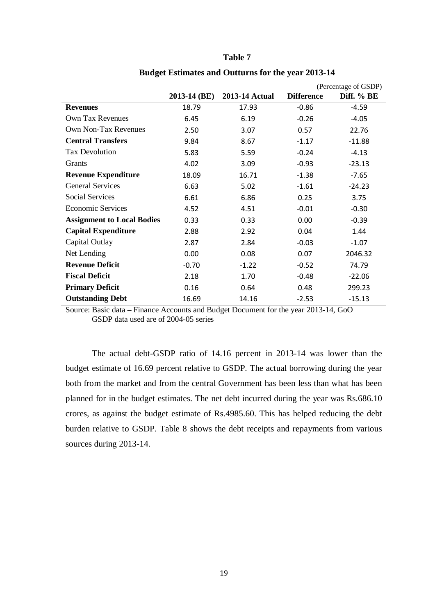|                                   |              |                |                   | (Percentage of GSDP) |
|-----------------------------------|--------------|----------------|-------------------|----------------------|
|                                   | 2013-14 (BE) | 2013-14 Actual | <b>Difference</b> | Diff. % BE           |
| <b>Revenues</b>                   | 18.79        | 17.93          | $-0.86$           | $-4.59$              |
| Own Tax Revenues                  | 6.45         | 6.19           | $-0.26$           | $-4.05$              |
| <b>Own Non-Tax Revenues</b>       | 2.50         | 3.07           | 0.57              | 22.76                |
| <b>Central Transfers</b>          | 9.84         | 8.67           | $-1.17$           | $-11.88$             |
| <b>Tax Devolution</b>             | 5.83         | 5.59           | $-0.24$           | $-4.13$              |
| Grants                            | 4.02         | 3.09           | $-0.93$           | $-23.13$             |
| <b>Revenue Expenditure</b>        | 18.09        | 16.71          | $-1.38$           | $-7.65$              |
| <b>General Services</b>           | 6.63         | 5.02           | $-1.61$           | $-24.23$             |
| <b>Social Services</b>            | 6.61         | 6.86           | 0.25              | 3.75                 |
| <b>Economic Services</b>          | 4.52         | 4.51           | $-0.01$           | $-0.30$              |
| <b>Assignment to Local Bodies</b> | 0.33         | 0.33           | 0.00              | $-0.39$              |
| <b>Capital Expenditure</b>        | 2.88         | 2.92           | 0.04              | 1.44                 |
| Capital Outlay                    | 2.87         | 2.84           | $-0.03$           | $-1.07$              |
| Net Lending                       | 0.00         | 0.08           | 0.07              | 2046.32              |
| <b>Revenue Deficit</b>            | $-0.70$      | $-1.22$        | $-0.52$           | 74.79                |
| <b>Fiscal Deficit</b>             | 2.18         | 1.70           | $-0.48$           | $-22.06$             |
| <b>Primary Deficit</b>            | 0.16         | 0.64           | 0.48              | 299.23               |
| <b>Outstanding Debt</b>           | 16.69        | 14.16          | $-2.53$           | $-15.13$             |

## **Table 7**

**Budget Estimates and Outturns for the year 2013-14**

Source: Basic data – Finance Accounts and Budget Document for the year 2013-14, GoO GSDP data used are of 2004-05 series

The actual debt-GSDP ratio of 14.16 percent in 2013-14 was lower than the budget estimate of 16.69 percent relative to GSDP. The actual borrowing during the year both from the market and from the central Government has been less than what has been planned for in the budget estimates. The net debt incurred during the year was Rs.686.10 crores, as against the budget estimate of Rs.4985.60. This has helped reducing the debt burden relative to GSDP. Table 8 shows the debt receipts and repayments from various sources during 2013-14.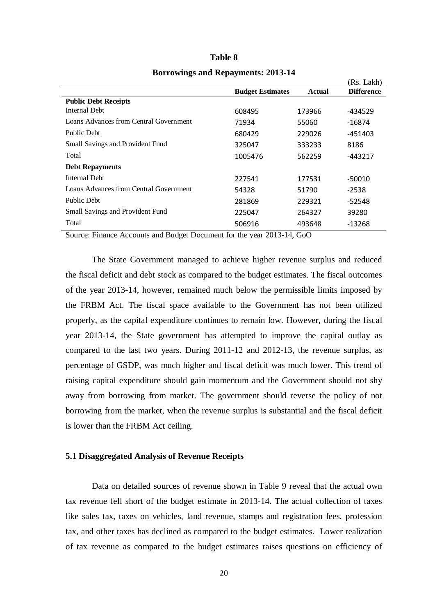|                                        |                         |        | (Rs. Lakh)        |
|----------------------------------------|-------------------------|--------|-------------------|
|                                        | <b>Budget Estimates</b> | Actual | <b>Difference</b> |
| <b>Public Debt Receipts</b>            |                         |        |                   |
| Internal Debt                          | 608495                  | 173966 | -434529           |
| Loans Advances from Central Government | 71934                   | 55060  | -16874            |
| Public Debt                            | 680429                  | 229026 | $-451403$         |
| Small Savings and Provident Fund       | 325047                  | 333233 | 8186              |
| Total                                  | 1005476                 | 562259 | -443217           |
| <b>Debt Repayments</b>                 |                         |        |                   |
| Internal Debt                          | 227541                  | 177531 | $-50010$          |
| Loans Advances from Central Government | 54328                   | 51790  | -2538             |
| Public Debt                            | 281869                  | 229321 | $-52548$          |
| Small Savings and Provident Fund       | 225047                  | 264327 | 39280             |
| Total                                  | 506916                  | 493648 | -13268            |

### **Table 8 Borrowings and Repayments: 2013-14**

Source: Finance Accounts and Budget Document for the year 2013-14, GoO

The State Government managed to achieve higher revenue surplus and reduced the fiscal deficit and debt stock as compared to the budget estimates. The fiscal outcomes of the year 2013-14, however, remained much below the permissible limits imposed by the FRBM Act. The fiscal space available to the Government has not been utilized properly, as the capital expenditure continues to remain low. However, during the fiscal year 2013-14, the State government has attempted to improve the capital outlay as compared to the last two years. During 2011-12 and 2012-13, the revenue surplus, as percentage of GSDP, was much higher and fiscal deficit was much lower. This trend of raising capital expenditure should gain momentum and the Government should not shy away from borrowing from market. The government should reverse the policy of not borrowing from the market, when the revenue surplus is substantial and the fiscal deficit is lower than the FRBM Act ceiling.

#### **5.1 Disaggregated Analysis of Revenue Receipts**

Data on detailed sources of revenue shown in Table 9 reveal that the actual own tax revenue fell short of the budget estimate in 2013-14. The actual collection of taxes like sales tax, taxes on vehicles, land revenue, stamps and registration fees, profession tax, and other taxes has declined as compared to the budget estimates. Lower realization of tax revenue as compared to the budget estimates raises questions on efficiency of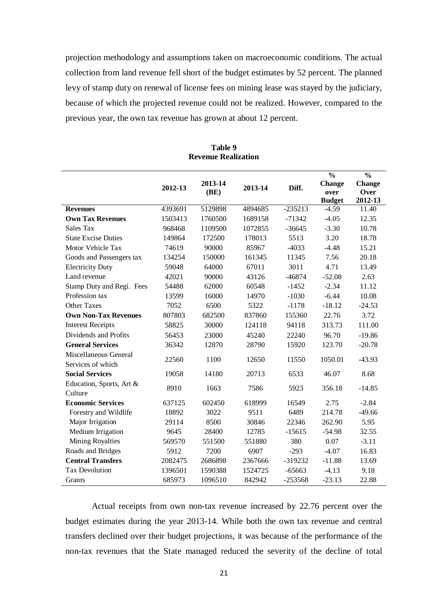projection methodology and assumptions taken on macroeconomic conditions. The actual collection from land revenue fell short of the budget estimates by 52 percent. The planned levy of stamp duty on renewal of license fees on mining lease was stayed by the judiciary, because of which the projected revenue could not be realized. However, compared to the previous year, the own tax revenue has grown at about 12 percent.

|                             |         |         |         |           | $\frac{0}{0}$ | $\frac{0}{0}$ |
|-----------------------------|---------|---------|---------|-----------|---------------|---------------|
|                             |         | 2013-14 |         |           | <b>Change</b> | <b>Change</b> |
|                             | 2012-13 | (BE)    | 2013-14 | Diff.     | over          | Over          |
|                             |         |         |         |           | <b>Budget</b> | 2012-13       |
| <b>Revenues</b>             | 4393691 | 5129898 | 4894685 | $-235213$ | $-4.59$       | 11.40         |
| <b>Own Tax Revenues</b>     | 1503413 | 1760500 | 1689158 | $-71342$  | $-4.05$       | 12.35         |
| Sales Tax                   | 968468  | 1109500 | 1072855 | $-36645$  | $-3.30$       | 10.78         |
| <b>State Excise Duties</b>  | 149864  | 172500  | 178013  | 5513      | 3.20          | 18.78         |
| Motor Vehicle Tax           | 74619   | 90000   | 85967   | $-4033$   | $-4.48$       | 15.21         |
| Goods and Passengers tax    | 134254  | 150000  | 161345  | 11345     | 7.56          | 20.18         |
| <b>Electricity Duty</b>     | 59048   | 64000   | 67011   | 3011      | 4.71          | 13.49         |
| Land revenue                | 42021   | 90000   | 43126   | $-46874$  | $-52.08$      | 2.63          |
| Stamp Duty and Regi. Fees   | 54488   | 62000   | 60548   | $-1452$   | $-2.34$       | 11.12         |
| Profession tax              | 13599   | 16000   | 14970   | $-1030$   | $-6.44$       | 10.08         |
| <b>Other Taxes</b>          | 7052    | 6500    | 5322    | $-1178$   | $-18.12$      | $-24.53$      |
| <b>Own Non-Tax Revenues</b> | 807803  | 682500  | 837860  | 155360    | 22.76         | 3.72          |
| <b>Interest Receipts</b>    | 58825   | 30000   | 124118  | 94118     | 313.73        | 111.00        |
| Dividends and Profits       | 56453   | 23000   | 45240   | 22240     | 96.70         | $-19.86$      |
| <b>General Services</b>     | 36342   | 12870   | 28790   | 15920     | 123.70        | $-20.78$      |
| Miscellaneous General       |         |         |         |           |               |               |
| Services of which           | 22560   | 1100    | 12650   | 11550     | 1050.01       | $-43.93$      |
| <b>Social Services</b>      | 19058   | 14180   | 20713   | 6533      | 46.07         | 8.68          |
| Education, Sports, Art &    |         |         |         |           |               |               |
| Culture                     | 8910    | 1663    | 7586    | 5923      | 356.18        | $-14.85$      |
| <b>Economic Services</b>    | 637125  | 602450  | 618999  | 16549     | 2.75          | $-2.84$       |
| Forestry and Wildlife       | 18892   | 3022    | 9511    | 6489      | 214.78        | $-49.66$      |
| Major Irrigation            | 29114   | 8500    | 30846   | 22346     | 262.90        | 5.95          |
| Medium Irrigation           | 9645    | 28400   | 12785   | $-15615$  | $-54.98$      | 32.55         |
| Mining Royalties            | 569570  | 551500  | 551880  | 380       | 0.07          | $-3.11$       |
| Roads and Bridges           | 5912    | 7200    | 6907    | $-293$    | $-4.07$       | 16.83         |
| <b>Central Transfers</b>    | 2082475 | 2686898 | 2367666 | $-319232$ | $-11.88$      | 13.69         |
| <b>Tax Devolution</b>       | 1396501 | 1590388 | 1524725 | $-65663$  | $-4.13$       | 9.18          |
| Grants                      | 685973  | 1096510 | 842942  | $-253568$ | $-23.13$      | 22.88         |

**Table 9 Revenue Realization**

Actual receipts from own non-tax revenue increased by 22.76 percent over the budget estimates during the year 2013-14. While both the own tax revenue and central transfers declined over their budget projections, it was because of the performance of the non-tax revenues that the State managed reduced the severity of the decline of total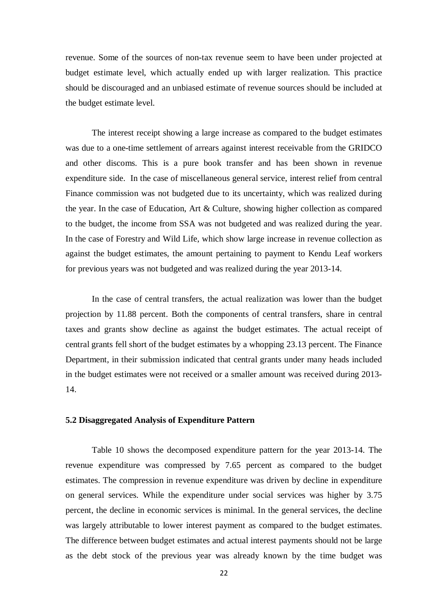revenue. Some of the sources of non-tax revenue seem to have been under projected at budget estimate level, which actually ended up with larger realization. This practice should be discouraged and an unbiased estimate of revenue sources should be included at the budget estimate level.

The interest receipt showing a large increase as compared to the budget estimates was due to a one-time settlement of arrears against interest receivable from the GRIDCO and other discoms. This is a pure book transfer and has been shown in revenue expenditure side. In the case of miscellaneous general service, interest relief from central Finance commission was not budgeted due to its uncertainty, which was realized during the year. In the case of Education, Art & Culture, showing higher collection as compared to the budget, the income from SSA was not budgeted and was realized during the year. In the case of Forestry and Wild Life, which show large increase in revenue collection as against the budget estimates, the amount pertaining to payment to Kendu Leaf workers for previous years was not budgeted and was realized during the year 2013-14.

In the case of central transfers, the actual realization was lower than the budget projection by 11.88 percent. Both the components of central transfers, share in central taxes and grants show decline as against the budget estimates. The actual receipt of central grants fell short of the budget estimates by a whopping 23.13 percent. The Finance Department, in their submission indicated that central grants under many heads included in the budget estimates were not received or a smaller amount was received during 2013- 14.

#### **5.2 Disaggregated Analysis of Expenditure Pattern**

Table 10 shows the decomposed expenditure pattern for the year 2013-14. The revenue expenditure was compressed by 7.65 percent as compared to the budget estimates. The compression in revenue expenditure was driven by decline in expenditure on general services. While the expenditure under social services was higher by 3.75 percent, the decline in economic services is minimal. In the general services, the decline was largely attributable to lower interest payment as compared to the budget estimates. The difference between budget estimates and actual interest payments should not be large as the debt stock of the previous year was already known by the time budget was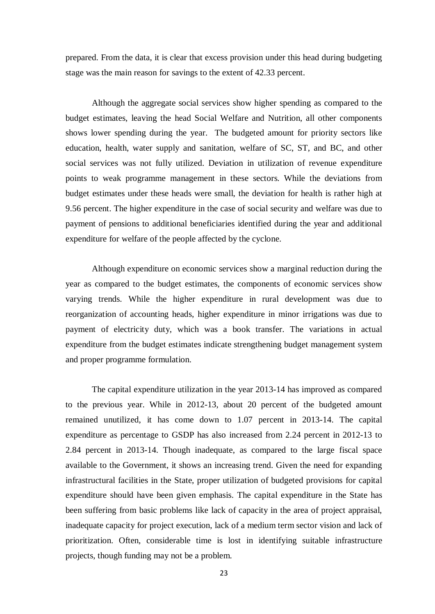prepared. From the data, it is clear that excess provision under this head during budgeting stage was the main reason for savings to the extent of 42.33 percent.

Although the aggregate social services show higher spending as compared to the budget estimates, leaving the head Social Welfare and Nutrition, all other components shows lower spending during the year. The budgeted amount for priority sectors like education, health, water supply and sanitation, welfare of SC, ST, and BC, and other social services was not fully utilized. Deviation in utilization of revenue expenditure points to weak programme management in these sectors. While the deviations from budget estimates under these heads were small, the deviation for health is rather high at 9.56 percent. The higher expenditure in the case of social security and welfare was due to payment of pensions to additional beneficiaries identified during the year and additional expenditure for welfare of the people affected by the cyclone.

Although expenditure on economic services show a marginal reduction during the year as compared to the budget estimates, the components of economic services show varying trends. While the higher expenditure in rural development was due to reorganization of accounting heads, higher expenditure in minor irrigations was due to payment of electricity duty, which was a book transfer. The variations in actual expenditure from the budget estimates indicate strengthening budget management system and proper programme formulation.

The capital expenditure utilization in the year 2013-14 has improved as compared to the previous year. While in 2012-13, about 20 percent of the budgeted amount remained unutilized, it has come down to 1.07 percent in 2013-14. The capital expenditure as percentage to GSDP has also increased from 2.24 percent in 2012-13 to 2.84 percent in 2013-14. Though inadequate, as compared to the large fiscal space available to the Government, it shows an increasing trend. Given the need for expanding infrastructural facilities in the State, proper utilization of budgeted provisions for capital expenditure should have been given emphasis. The capital expenditure in the State has been suffering from basic problems like lack of capacity in the area of project appraisal, inadequate capacity for project execution, lack of a medium term sector vision and lack of prioritization. Often, considerable time is lost in identifying suitable infrastructure projects, though funding may not be a problem.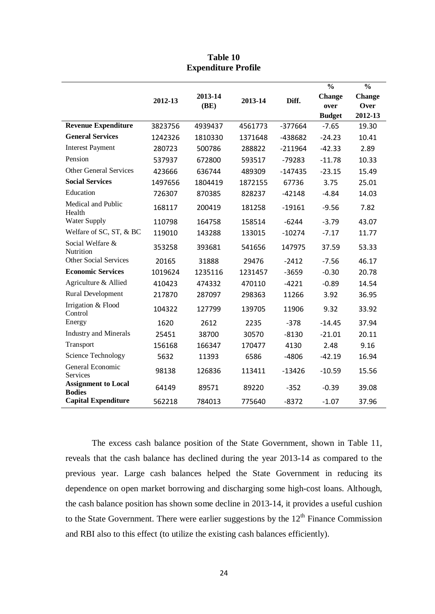|                                             |         |         |         |           | $\frac{0}{0}$ | $\frac{0}{0}$ |
|---------------------------------------------|---------|---------|---------|-----------|---------------|---------------|
|                                             |         | 2013-14 |         |           | <b>Change</b> | <b>Change</b> |
|                                             | 2012-13 | (BE)    | 2013-14 | Diff.     | over          | Over          |
|                                             |         |         |         |           | <b>Budget</b> | 2012-13       |
| <b>Revenue Expenditure</b>                  | 3823756 | 4939437 | 4561773 | $-377664$ | $-7.65$       | 19.30         |
| <b>General Services</b>                     | 1242326 | 1810330 | 1371648 | -438682   | $-24.23$      | 10.41         |
| <b>Interest Payment</b>                     | 280723  | 500786  | 288822  | $-211964$ | $-42.33$      | 2.89          |
| Pension                                     | 537937  | 672800  | 593517  | $-79283$  | $-11.78$      | 10.33         |
| <b>Other General Services</b>               | 423666  | 636744  | 489309  | $-147435$ | $-23.15$      | 15.49         |
| <b>Social Services</b>                      | 1497656 | 1804419 | 1872155 | 67736     | 3.75          | 25.01         |
| Education                                   | 726307  | 870385  | 828237  | $-42148$  | $-4.84$       | 14.03         |
| Medical and Public<br>Health                | 168117  | 200419  | 181258  | $-19161$  | $-9.56$       | 7.82          |
| <b>Water Supply</b>                         | 110798  | 164758  | 158514  | $-6244$   | $-3.79$       | 43.07         |
| Welfare of SC, ST, & BC                     | 119010  | 143288  | 133015  | $-10274$  | $-7.17$       | 11.77         |
| Social Welfare &<br>Nutrition               | 353258  | 393681  | 541656  | 147975    | 37.59         | 53.33         |
| <b>Other Social Services</b>                | 20165   | 31888   | 29476   | $-2412$   | $-7.56$       | 46.17         |
| <b>Economic Services</b>                    | 1019624 | 1235116 | 1231457 | $-3659$   | $-0.30$       | 20.78         |
| Agriculture & Allied                        | 410423  | 474332  | 470110  | $-4221$   | $-0.89$       | 14.54         |
| <b>Rural Development</b>                    | 217870  | 287097  | 298363  | 11266     | 3.92          | 36.95         |
| Irrigation & Flood<br>Control               | 104322  | 127799  | 139705  | 11906     | 9.32          | 33.92         |
| Energy                                      | 1620    | 2612    | 2235    | $-378$    | $-14.45$      | 37.94         |
| <b>Industry and Minerals</b>                | 25451   | 38700   | 30570   | $-8130$   | $-21.01$      | 20.11         |
| Transport                                   | 156168  | 166347  | 170477  | 4130      | 2.48          | 9.16          |
| Science Technology                          | 5632    | 11393   | 6586    | $-4806$   | $-42.19$      | 16.94         |
| General Economic<br>Services                | 98138   | 126836  | 113411  | $-13426$  | $-10.59$      | 15.56         |
| <b>Assignment to Local</b><br><b>Bodies</b> | 64149   | 89571   | 89220   | $-352$    | $-0.39$       | 39.08         |
| <b>Capital Expenditure</b>                  | 562218  | 784013  | 775640  | $-8372$   | $-1.07$       | 37.96         |

**Table 10 Expenditure Profile**

The excess cash balance position of the State Government, shown in Table 11, reveals that the cash balance has declined during the year 2013-14 as compared to the previous year. Large cash balances helped the State Government in reducing its dependence on open market borrowing and discharging some high-cost loans. Although, the cash balance position has shown some decline in 2013-14, it provides a useful cushion to the State Government. There were earlier suggestions by the  $12<sup>th</sup>$  Finance Commission and RBI also to this effect (to utilize the existing cash balances efficiently).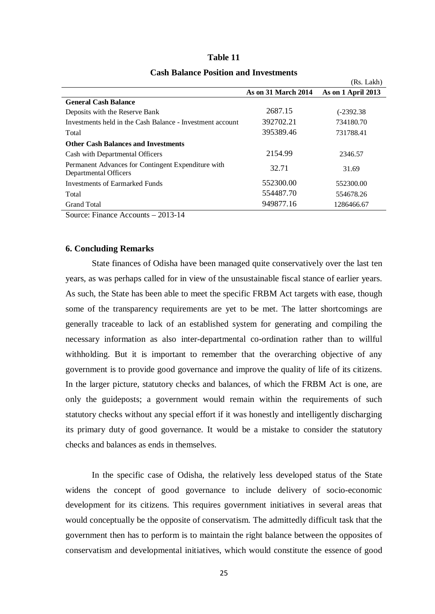| Table |  |
|-------|--|
|-------|--|

|                                                                             |                            | (Rs. Lakh)         |
|-----------------------------------------------------------------------------|----------------------------|--------------------|
|                                                                             | <b>As on 31 March 2014</b> | As on 1 April 2013 |
| <b>General Cash Balance</b>                                                 |                            |                    |
| Deposits with the Reserve Bank                                              | 2687.15                    | $(-2392.38)$       |
| Investments held in the Cash Balance - Investment account                   | 392702.21                  | 734180.70          |
| Total                                                                       | 395389.46                  | 731788.41          |
| <b>Other Cash Balances and Investments</b>                                  |                            |                    |
| Cash with Departmental Officers                                             | 2154.99                    | 2346.57            |
| Permanent Advances for Contingent Expenditure with<br>Departmental Officers | 32.71                      | 31.69              |
| Investments of Earmarked Funds                                              | 552300.00                  | 552300.00          |
| Total                                                                       | 554487.70                  | 554678.26          |
| <b>Grand Total</b>                                                          | 949877.16                  | 1286466.67         |

#### **Cash Balance Position and Investments**

Source: Finance Accounts – 2013-14

#### **6. Concluding Remarks**

State finances of Odisha have been managed quite conservatively over the last ten years, as was perhaps called for in view of the unsustainable fiscal stance of earlier years. As such, the State has been able to meet the specific FRBM Act targets with ease, though some of the transparency requirements are yet to be met. The latter shortcomings are generally traceable to lack of an established system for generating and compiling the necessary information as also inter-departmental co-ordination rather than to willful withholding. But it is important to remember that the overarching objective of any government is to provide good governance and improve the quality of life of its citizens. In the larger picture, statutory checks and balances, of which the FRBM Act is one, are only the guideposts; a government would remain within the requirements of such statutory checks without any special effort if it was honestly and intelligently discharging its primary duty of good governance. It would be a mistake to consider the statutory checks and balances as ends in themselves.

In the specific case of Odisha, the relatively less developed status of the State widens the concept of good governance to include delivery of socio-economic development for its citizens. This requires government initiatives in several areas that would conceptually be the opposite of conservatism. The admittedly difficult task that the government then has to perform is to maintain the right balance between the opposites of conservatism and developmental initiatives, which would constitute the essence of good